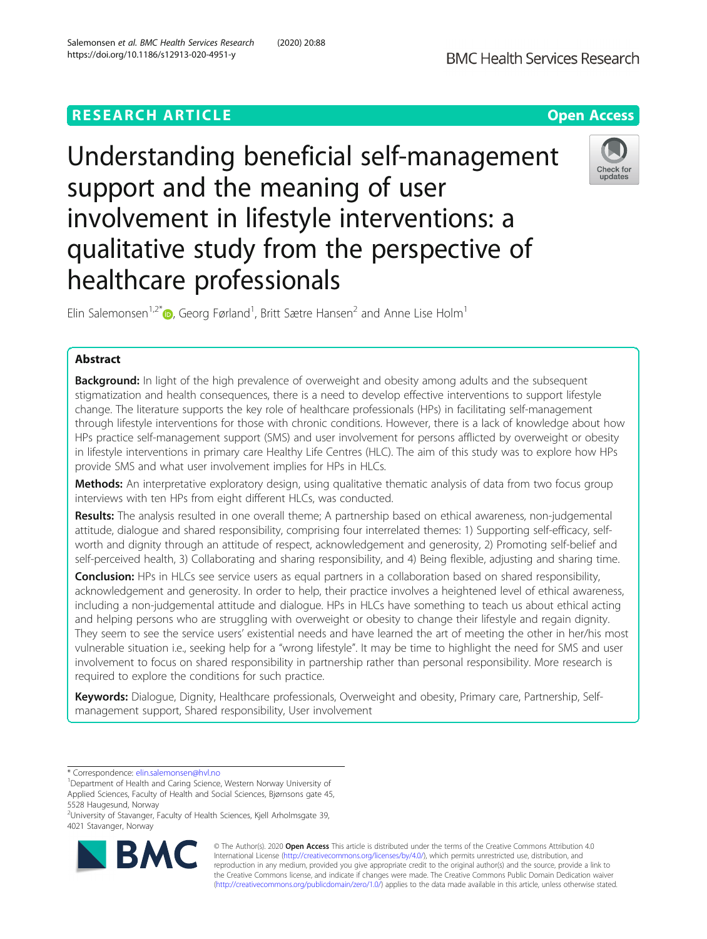## **RESEARCH ARTICLE Example 2014 12:30 The Contract of Contract ACCESS**

# Understanding beneficial self-management support and the meaning of user involvement in lifestyle interventions: a qualitative study from the perspective of healthcare professionals

Elin Salemonsen $^{1,2^{\ast}}$  $^{1,2^{\ast}}$  $^{1,2^{\ast}}$  , Georg Førland<sup>1</sup>, Britt Sætre Hansen<sup>2</sup> and Anne Lise Holm<sup>1</sup>

## Abstract

Background: In light of the high prevalence of overweight and obesity among adults and the subsequent stigmatization and health consequences, there is a need to develop effective interventions to support lifestyle change. The literature supports the key role of healthcare professionals (HPs) in facilitating self-management through lifestyle interventions for those with chronic conditions. However, there is a lack of knowledge about how HPs practice self-management support (SMS) and user involvement for persons afflicted by overweight or obesity in lifestyle interventions in primary care Healthy Life Centres (HLC). The aim of this study was to explore how HPs provide SMS and what user involvement implies for HPs in HLCs.

Methods: An interpretative exploratory design, using qualitative thematic analysis of data from two focus group interviews with ten HPs from eight different HLCs, was conducted.

Results: The analysis resulted in one overall theme; A partnership based on ethical awareness, non-judgemental attitude, dialogue and shared responsibility, comprising four interrelated themes: 1) Supporting self-efficacy, selfworth and dignity through an attitude of respect, acknowledgement and generosity, 2) Promoting self-belief and self-perceived health, 3) Collaborating and sharing responsibility, and 4) Being flexible, adjusting and sharing time.

Conclusion: HPs in HLCs see service users as equal partners in a collaboration based on shared responsibility, acknowledgement and generosity. In order to help, their practice involves a heightened level of ethical awareness, including a non-judgemental attitude and dialogue. HPs in HLCs have something to teach us about ethical acting and helping persons who are struggling with overweight or obesity to change their lifestyle and regain dignity. They seem to see the service users' existential needs and have learned the art of meeting the other in her/his most vulnerable situation i.e., seeking help for a "wrong lifestyle". It may be time to highlight the need for SMS and user involvement to focus on shared responsibility in partnership rather than personal responsibility. More research is required to explore the conditions for such practice.

Keywords: Dialogue, Dignity, Healthcare professionals, Overweight and obesity, Primary care, Partnership, Selfmanagement support, Shared responsibility, User involvement

© The Author(s). 2020 Open Access This article is distributed under the terms of the Creative Commons Attribution 4.0 International License [\(http://creativecommons.org/licenses/by/4.0/](http://creativecommons.org/licenses/by/4.0/)), which permits unrestricted use, distribution, and reproduction in any medium, provided you give appropriate credit to the original author(s) and the source, provide a link to the Creative Commons license, and indicate if changes were made. The Creative Commons Public Domain Dedication waiver [\(http://creativecommons.org/publicdomain/zero/1.0/](http://creativecommons.org/publicdomain/zero/1.0/)) applies to the data made available in this article, unless otherwise stated.

Salemonsen et al. BMC Health Services Research (2020) 20:88 https://doi.org/10.1186/s12913-020-4951-y





<sup>\*</sup> Correspondence: [elin.salemonsen@hvl.no](mailto:elin.salemonsen@hvl.no) <sup>1</sup>

<sup>&</sup>lt;sup>1</sup>Department of Health and Caring Science, Western Norway University of Applied Sciences, Faculty of Health and Social Sciences, Bjørnsons gate 45, 5528 Haugesund, Norway

<sup>4021</sup> Stavanger, Norway

<sup>&</sup>lt;sup>2</sup>University of Stavanger, Faculty of Health Sciences, Kjell Arholmsgate 39,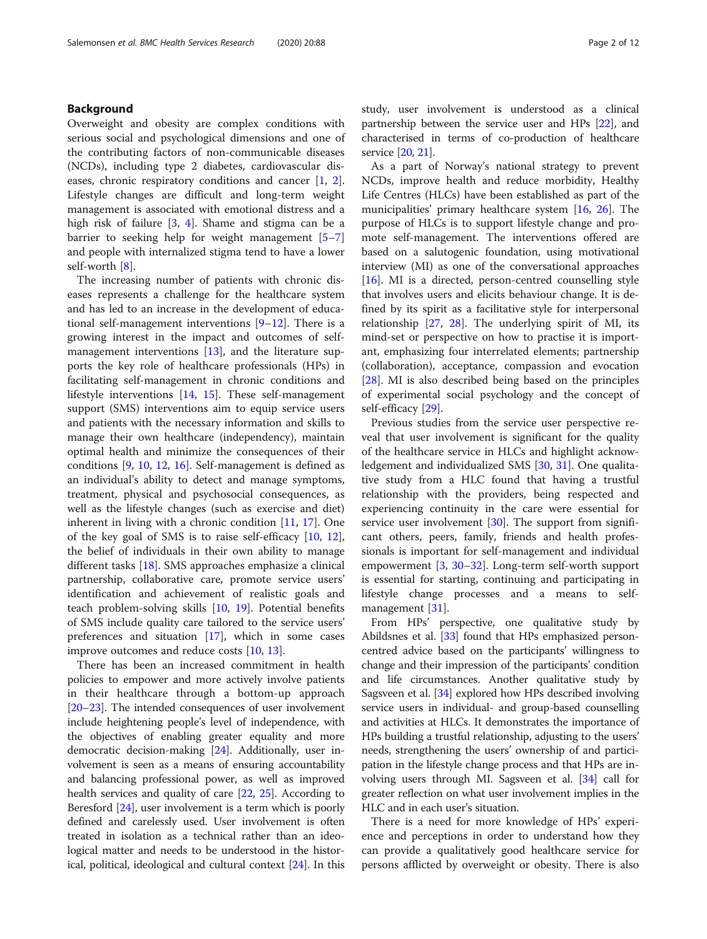## Background

Overweight and obesity are complex conditions with serious social and psychological dimensions and one of the contributing factors of non-communicable diseases (NCDs), including type 2 diabetes, cardiovascular diseases, chronic respiratory conditions and cancer [[1,](#page-10-0) [2](#page-10-0)]. Lifestyle changes are difficult and long-term weight management is associated with emotional distress and a high risk of failure [\[3](#page-10-0), [4\]](#page-10-0). Shame and stigma can be a barrier to seeking help for weight management [[5](#page-10-0)–[7](#page-10-0)] and people with internalized stigma tend to have a lower self-worth [\[8](#page-10-0)].

The increasing number of patients with chronic diseases represents a challenge for the healthcare system and has led to an increase in the development of educational self-management interventions [[9](#page-10-0)–[12\]](#page-10-0). There is a growing interest in the impact and outcomes of selfmanagement interventions [[13\]](#page-10-0), and the literature supports the key role of healthcare professionals (HPs) in facilitating self-management in chronic conditions and lifestyle interventions [\[14,](#page-10-0) [15\]](#page-10-0). These self-management support (SMS) interventions aim to equip service users and patients with the necessary information and skills to manage their own healthcare (independency), maintain optimal health and minimize the consequences of their conditions [[9,](#page-10-0) [10](#page-10-0), [12](#page-10-0), [16](#page-10-0)]. Self-management is defined as an individual's ability to detect and manage symptoms, treatment, physical and psychosocial consequences, as well as the lifestyle changes (such as exercise and diet) inherent in living with a chronic condition [\[11](#page-10-0), [17](#page-10-0)]. One of the key goal of SMS is to raise self-efficacy [\[10](#page-10-0), [12](#page-10-0)], the belief of individuals in their own ability to manage different tasks [\[18](#page-10-0)]. SMS approaches emphasize a clinical partnership, collaborative care, promote service users' identification and achievement of realistic goals and teach problem-solving skills [[10,](#page-10-0) [19](#page-10-0)]. Potential benefits of SMS include quality care tailored to the service users' preferences and situation [[17\]](#page-10-0), which in some cases improve outcomes and reduce costs [\[10](#page-10-0), [13](#page-10-0)].

There has been an increased commitment in health policies to empower and more actively involve patients in their healthcare through a bottom-up approach [[20](#page-10-0)–[23\]](#page-10-0). The intended consequences of user involvement include heightening people's level of independence, with the objectives of enabling greater equality and more democratic decision-making [[24](#page-10-0)]. Additionally, user involvement is seen as a means of ensuring accountability and balancing professional power, as well as improved health services and quality of care [\[22,](#page-10-0) [25](#page-10-0)]. According to Beresford [[24](#page-10-0)], user involvement is a term which is poorly defined and carelessly used. User involvement is often treated in isolation as a technical rather than an ideological matter and needs to be understood in the historical, political, ideological and cultural context [\[24\]](#page-10-0). In this study, user involvement is understood as a clinical partnership between the service user and HPs [[22](#page-10-0)], and characterised in terms of co-production of healthcare service [[20](#page-10-0), [21\]](#page-10-0).

As a part of Norway's national strategy to prevent NCDs, improve health and reduce morbidity, Healthy Life Centres (HLCs) have been established as part of the municipalities' primary healthcare system [\[16](#page-10-0), [26\]](#page-10-0). The purpose of HLCs is to support lifestyle change and promote self-management. The interventions offered are based on a salutogenic foundation, using motivational interview (MI) as one of the conversational approaches [[16\]](#page-10-0). MI is a directed, person-centred counselling style that involves users and elicits behaviour change. It is defined by its spirit as a facilitative style for interpersonal relationship [\[27](#page-10-0), [28](#page-10-0)]. The underlying spirit of MI, its mind-set or perspective on how to practise it is important, emphasizing four interrelated elements; partnership (collaboration), acceptance, compassion and evocation [[28\]](#page-10-0). MI is also described being based on the principles of experimental social psychology and the concept of self-efficacy [\[29](#page-10-0)].

Previous studies from the service user perspective reveal that user involvement is significant for the quality of the healthcare service in HLCs and highlight acknowledgement and individualized SMS [[30](#page-10-0), [31](#page-10-0)]. One qualitative study from a HLC found that having a trustful relationship with the providers, being respected and experiencing continuity in the care were essential for service user involvement [[30](#page-10-0)]. The support from significant others, peers, family, friends and health professionals is important for self-management and individual empowerment [\[3](#page-10-0), [30](#page-10-0)–[32](#page-10-0)]. Long-term self-worth support is essential for starting, continuing and participating in lifestyle change processes and a means to self-management [[31](#page-10-0)].

From HPs' perspective, one qualitative study by Abildsnes et al. [\[33\]](#page-10-0) found that HPs emphasized personcentred advice based on the participants' willingness to change and their impression of the participants' condition and life circumstances. Another qualitative study by Sagsveen et al. [[34](#page-10-0)] explored how HPs described involving service users in individual- and group-based counselling and activities at HLCs. It demonstrates the importance of HPs building a trustful relationship, adjusting to the users' needs, strengthening the users' ownership of and participation in the lifestyle change process and that HPs are involving users through MI. Sagsveen et al. [[34](#page-10-0)] call for greater reflection on what user involvement implies in the HLC and in each user's situation.

There is a need for more knowledge of HPs' experience and perceptions in order to understand how they can provide a qualitatively good healthcare service for persons afflicted by overweight or obesity. There is also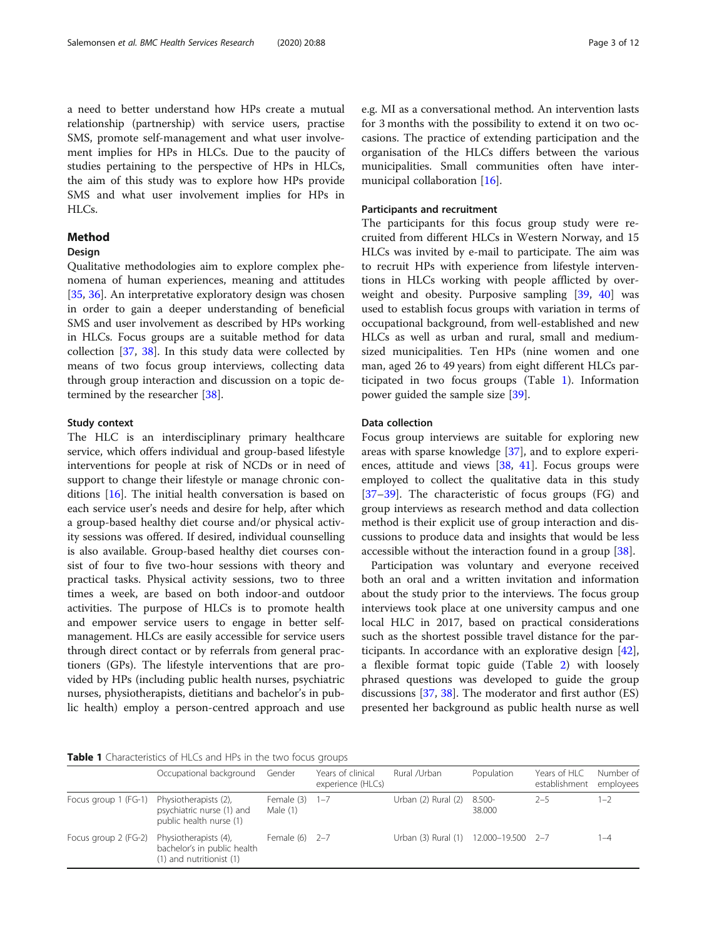a need to better understand how HPs create a mutual relationship (partnership) with service users, practise SMS, promote self-management and what user involvement implies for HPs in HLCs. Due to the paucity of studies pertaining to the perspective of HPs in HLCs, the aim of this study was to explore how HPs provide SMS and what user involvement implies for HPs in HLCs.

## Method

## Design

Qualitative methodologies aim to explore complex phenomena of human experiences, meaning and attitudes [[35,](#page-10-0) [36\]](#page-10-0). An interpretative exploratory design was chosen in order to gain a deeper understanding of beneficial SMS and user involvement as described by HPs working in HLCs. Focus groups are a suitable method for data collection [[37](#page-10-0), [38](#page-10-0)]. In this study data were collected by means of two focus group interviews, collecting data through group interaction and discussion on a topic determined by the researcher [\[38](#page-10-0)].

## Study context

The HLC is an interdisciplinary primary healthcare service, which offers individual and group-based lifestyle interventions for people at risk of NCDs or in need of support to change their lifestyle or manage chronic conditions [[16](#page-10-0)]. The initial health conversation is based on each service user's needs and desire for help, after which a group-based healthy diet course and/or physical activity sessions was offered. If desired, individual counselling is also available. Group-based healthy diet courses consist of four to five two-hour sessions with theory and practical tasks. Physical activity sessions, two to three times a week, are based on both indoor-and outdoor activities. The purpose of HLCs is to promote health and empower service users to engage in better selfmanagement. HLCs are easily accessible for service users through direct contact or by referrals from general practioners (GPs). The lifestyle interventions that are provided by HPs (including public health nurses, psychiatric nurses, physiotherapists, dietitians and bachelor's in public health) employ a person-centred approach and use e.g. MI as a conversational method. An intervention lasts for 3 months with the possibility to extend it on two occasions. The practice of extending participation and the organisation of the HLCs differs between the various municipalities. Small communities often have intermunicipal collaboration [[16\]](#page-10-0).

## Participants and recruitment

The participants for this focus group study were recruited from different HLCs in Western Norway, and 15 HLCs was invited by e-mail to participate. The aim was to recruit HPs with experience from lifestyle interventions in HLCs working with people afflicted by over-weight and obesity. Purposive sampling [[39,](#page-10-0) [40](#page-10-0)] was used to establish focus groups with variation in terms of occupational background, from well-established and new HLCs as well as urban and rural, small and mediumsized municipalities. Ten HPs (nine women and one man, aged 26 to 49 years) from eight different HLCs participated in two focus groups (Table 1). Information power guided the sample size [[39\]](#page-10-0).

## Data collection

Focus group interviews are suitable for exploring new areas with sparse knowledge [\[37](#page-10-0)], and to explore experiences, attitude and views  $[38, 41]$  $[38, 41]$  $[38, 41]$  $[38, 41]$ . Focus groups were employed to collect the qualitative data in this study [[37](#page-10-0)–[39](#page-10-0)]. The characteristic of focus groups (FG) and group interviews as research method and data collection method is their explicit use of group interaction and discussions to produce data and insights that would be less accessible without the interaction found in a group [\[38](#page-10-0)].

Participation was voluntary and everyone received both an oral and a written invitation and information about the study prior to the interviews. The focus group interviews took place at one university campus and one local HLC in 2017, based on practical considerations such as the shortest possible travel distance for the participants. In accordance with an explorative design [\[42](#page-10-0)], a flexible format topic guide (Table [2](#page-3-0)) with loosely phrased questions was developed to guide the group discussions [[37](#page-10-0), [38](#page-10-0)]. The moderator and first author (ES) presented her background as public health nurse as well

Table 1 Characteristics of HLCs and HPs in the two focus groups

|                      | Occupational background                                                          | Gender                       | Years of clinical<br>experience (HLCs) | Rural /Urban                          | Population       | Years of HLC<br>establishment | Number of<br>employees |
|----------------------|----------------------------------------------------------------------------------|------------------------------|----------------------------------------|---------------------------------------|------------------|-------------------------------|------------------------|
| Focus group 1 (FG-1) | Physiotherapists (2),<br>psychiatric nurse (1) and<br>public health nurse (1)    | Female $(3)$ 1-7<br>Male (1) |                                        | Urban (2) Rural (2)                   | 8.500-<br>38,000 | $2 - 5$                       | 1–2                    |
| Focus group 2 (FG-2) | Physiotherapists (4),<br>bachelor's in public health<br>(1) and nutritionist (1) | Female $(6)$ 2-7             |                                        | Urban (3) Rural (1) 12.000-19.500 2-7 |                  |                               | 1–4                    |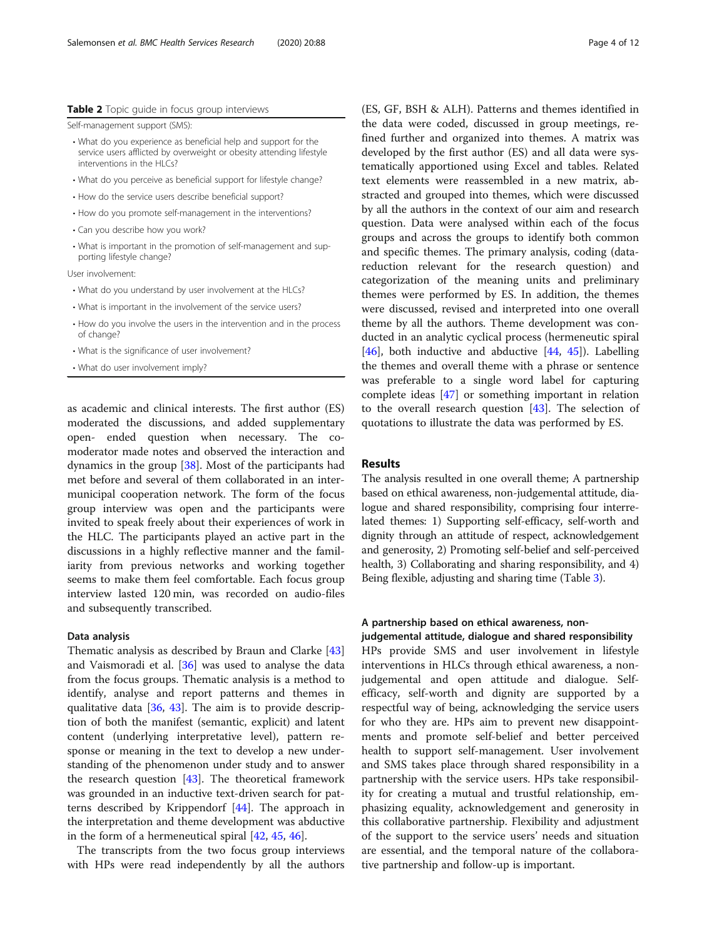#### <span id="page-3-0"></span>Table 2 Topic quide in focus group interviews

Self-management support (SMS):

- What do you experience as beneficial help and support for the service users afflicted by overweight or obesity attending lifestyle interventions in the  $HI Cs$ ?
- What do you perceive as beneficial support for lifestyle change?
- How do the service users describe beneficial support?
- How do you promote self-management in the interventions?
- Can you describe how you work?
- What is important in the promotion of self-management and supporting lifestyle change?

User involvement:

- What do you understand by user involvement at the HLCs?
- What is important in the involvement of the service users?
- How do you involve the users in the intervention and in the process of change?
- What is the significance of user involvement?
- What do user involvement imply?

as academic and clinical interests. The first author (ES) moderated the discussions, and added supplementary open- ended question when necessary. The comoderator made notes and observed the interaction and dynamics in the group [\[38](#page-10-0)]. Most of the participants had met before and several of them collaborated in an intermunicipal cooperation network. The form of the focus group interview was open and the participants were invited to speak freely about their experiences of work in the HLC. The participants played an active part in the discussions in a highly reflective manner and the familiarity from previous networks and working together seems to make them feel comfortable. Each focus group interview lasted 120 min, was recorded on audio-files and subsequently transcribed.

#### Data analysis

Thematic analysis as described by Braun and Clarke [[43](#page-10-0)] and Vaismoradi et al. [\[36](#page-10-0)] was used to analyse the data from the focus groups. Thematic analysis is a method to identify, analyse and report patterns and themes in qualitative data [[36,](#page-10-0) [43\]](#page-10-0). The aim is to provide description of both the manifest (semantic, explicit) and latent content (underlying interpretative level), pattern response or meaning in the text to develop a new understanding of the phenomenon under study and to answer the research question [[43\]](#page-10-0). The theoretical framework was grounded in an inductive text-driven search for patterns described by Krippendorf [\[44](#page-10-0)]. The approach in the interpretation and theme development was abductive in the form of a hermeneutical spiral [[42,](#page-10-0) [45,](#page-10-0) [46\]](#page-10-0).

The transcripts from the two focus group interviews with HPs were read independently by all the authors

(ES, GF, BSH & ALH). Patterns and themes identified in the data were coded, discussed in group meetings, refined further and organized into themes. A matrix was developed by the first author (ES) and all data were systematically apportioned using Excel and tables. Related text elements were reassembled in a new matrix, abstracted and grouped into themes, which were discussed by all the authors in the context of our aim and research question. Data were analysed within each of the focus groups and across the groups to identify both common and specific themes. The primary analysis, coding (datareduction relevant for the research question) and categorization of the meaning units and preliminary themes were performed by ES. In addition, the themes were discussed, revised and interpreted into one overall theme by all the authors. Theme development was conducted in an analytic cyclical process (hermeneutic spiral [[46\]](#page-10-0), both inductive and abductive [\[44](#page-10-0), [45\]](#page-10-0)). Labelling the themes and overall theme with a phrase or sentence was preferable to a single word label for capturing complete ideas [[47\]](#page-10-0) or something important in relation to the overall research question  $[43]$ . The selection of quotations to illustrate the data was performed by ES.

## **Results**

The analysis resulted in one overall theme; A partnership based on ethical awareness, non-judgemental attitude, dialogue and shared responsibility, comprising four interrelated themes: 1) Supporting self-efficacy, self-worth and dignity through an attitude of respect, acknowledgement and generosity, 2) Promoting self-belief and self-perceived health, 3) Collaborating and sharing responsibility, and 4) Being flexible, adjusting and sharing time (Table [3\)](#page-4-0).

## A partnership based on ethical awareness, nonjudgemental attitude, dialogue and shared responsibility

HPs provide SMS and user involvement in lifestyle interventions in HLCs through ethical awareness, a nonjudgemental and open attitude and dialogue. Selfefficacy, self-worth and dignity are supported by a respectful way of being, acknowledging the service users for who they are. HPs aim to prevent new disappointments and promote self-belief and better perceived health to support self-management. User involvement and SMS takes place through shared responsibility in a partnership with the service users. HPs take responsibility for creating a mutual and trustful relationship, emphasizing equality, acknowledgement and generosity in this collaborative partnership. Flexibility and adjustment of the support to the service users' needs and situation are essential, and the temporal nature of the collaborative partnership and follow-up is important.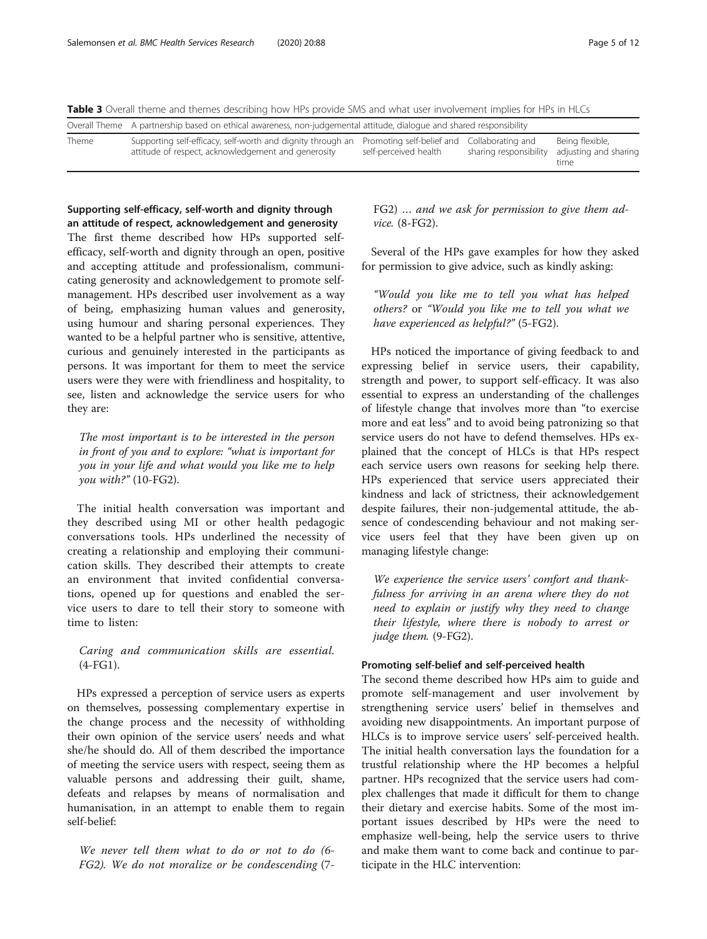<span id="page-4-0"></span>Table 3 Overall theme and themes describing how HPs provide SMS and what user involvement implies for HPs in HLCs

|       | Overall Theme A partnership based on ethical awareness, non-judgemental attitude, dialogue and shared responsibility                                           |                       |                        |                                                  |  |  |  |  |
|-------|----------------------------------------------------------------------------------------------------------------------------------------------------------------|-----------------------|------------------------|--------------------------------------------------|--|--|--|--|
| Theme | Supporting self-efficacy, self-worth and dignity through an Promoting self-belief and Collaborating and<br>attitude of respect, acknowledgement and generosity | self-perceived health | sharing responsibility | Being flexible,<br>adjusting and sharing<br>time |  |  |  |  |

Supporting self-efficacy, self-worth and dignity through an attitude of respect, acknowledgement and generosity

The first theme described how HPs supported selfefficacy, self-worth and dignity through an open, positive and accepting attitude and professionalism, communicating generosity and acknowledgement to promote selfmanagement. HPs described user involvement as a way of being, emphasizing human values and generosity, using humour and sharing personal experiences. They wanted to be a helpful partner who is sensitive, attentive, curious and genuinely interested in the participants as persons. It was important for them to meet the service users were they were with friendliness and hospitality, to see, listen and acknowledge the service users for who they are:

The most important is to be interested in the person in front of you and to explore: "what is important for you in your life and what would you like me to help you with?" (10-FG2).

The initial health conversation was important and they described using MI or other health pedagogic conversations tools. HPs underlined the necessity of creating a relationship and employing their communication skills. They described their attempts to create an environment that invited confidential conversations, opened up for questions and enabled the service users to dare to tell their story to someone with time to listen:

## Caring and communication skills are essential. (4-FG1).

HPs expressed a perception of service users as experts on themselves, possessing complementary expertise in the change process and the necessity of withholding their own opinion of the service users' needs and what she/he should do. All of them described the importance of meeting the service users with respect, seeing them as valuable persons and addressing their guilt, shame, defeats and relapses by means of normalisation and humanisation, in an attempt to enable them to regain self-belief:

We never tell them what to do or not to do (6- FG2). We do not moralize or be condescending (7FG2) … and we ask for permission to give them advice. (8-FG2).

Several of the HPs gave examples for how they asked for permission to give advice, such as kindly asking:

"Would you like me to tell you what has helped others? or "Would you like me to tell you what we have experienced as helpful?" (5-FG2).

HPs noticed the importance of giving feedback to and expressing belief in service users, their capability, strength and power, to support self-efficacy. It was also essential to express an understanding of the challenges of lifestyle change that involves more than "to exercise more and eat less" and to avoid being patronizing so that service users do not have to defend themselves. HPs explained that the concept of HLCs is that HPs respect each service users own reasons for seeking help there. HPs experienced that service users appreciated their kindness and lack of strictness, their acknowledgement despite failures, their non-judgemental attitude, the absence of condescending behaviour and not making service users feel that they have been given up on managing lifestyle change:

We experience the service users' comfort and thankfulness for arriving in an arena where they do not need to explain or justify why they need to change their lifestyle, where there is nobody to arrest or judge them. (9-FG2).

### Promoting self-belief and self-perceived health

The second theme described how HPs aim to guide and promote self-management and user involvement by strengthening service users' belief in themselves and avoiding new disappointments. An important purpose of HLCs is to improve service users' self-perceived health. The initial health conversation lays the foundation for a trustful relationship where the HP becomes a helpful partner. HPs recognized that the service users had complex challenges that made it difficult for them to change their dietary and exercise habits. Some of the most important issues described by HPs were the need to emphasize well-being, help the service users to thrive and make them want to come back and continue to participate in the HLC intervention: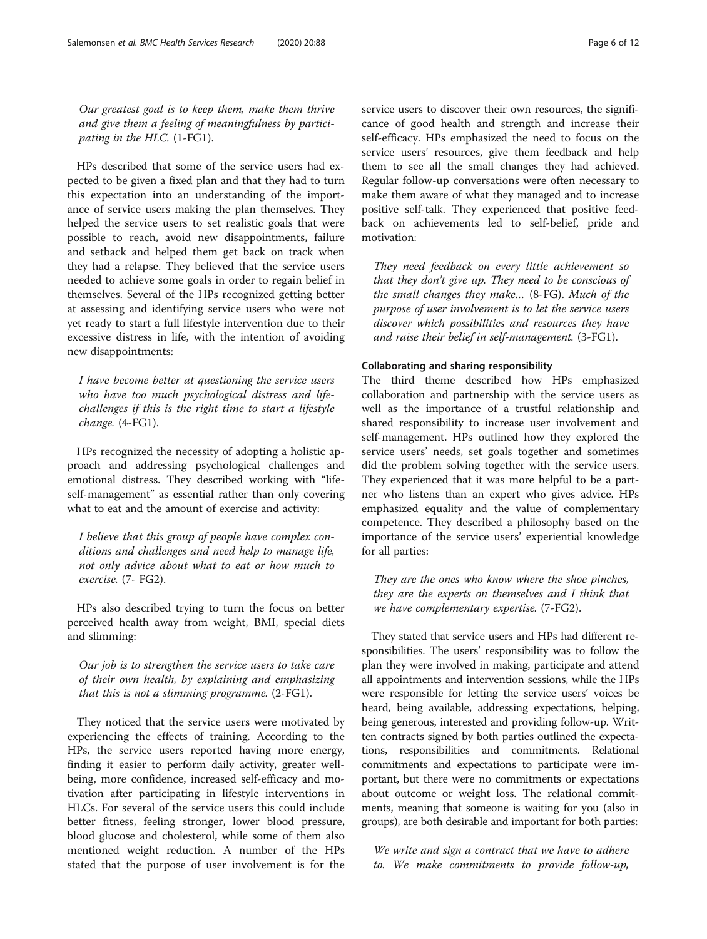Our greatest goal is to keep them, make them thrive and give them a feeling of meaningfulness by participating in the HLC. (1-FG1).

HPs described that some of the service users had expected to be given a fixed plan and that they had to turn this expectation into an understanding of the importance of service users making the plan themselves. They helped the service users to set realistic goals that were possible to reach, avoid new disappointments, failure and setback and helped them get back on track when they had a relapse. They believed that the service users needed to achieve some goals in order to regain belief in themselves. Several of the HPs recognized getting better at assessing and identifying service users who were not yet ready to start a full lifestyle intervention due to their excessive distress in life, with the intention of avoiding new disappointments:

I have become better at questioning the service users who have too much psychological distress and lifechallenges if this is the right time to start a lifestyle change. (4-FG1).

HPs recognized the necessity of adopting a holistic approach and addressing psychological challenges and emotional distress. They described working with "lifeself-management" as essential rather than only covering what to eat and the amount of exercise and activity:

I believe that this group of people have complex conditions and challenges and need help to manage life, not only advice about what to eat or how much to exercise. (7- FG2).

HPs also described trying to turn the focus on better perceived health away from weight, BMI, special diets and slimming:

Our job is to strengthen the service users to take care of their own health, by explaining and emphasizing that this is not a slimming programme. (2-FG1).

They noticed that the service users were motivated by experiencing the effects of training. According to the HPs, the service users reported having more energy, finding it easier to perform daily activity, greater wellbeing, more confidence, increased self-efficacy and motivation after participating in lifestyle interventions in HLCs. For several of the service users this could include better fitness, feeling stronger, lower blood pressure, blood glucose and cholesterol, while some of them also mentioned weight reduction. A number of the HPs stated that the purpose of user involvement is for the service users to discover their own resources, the significance of good health and strength and increase their self-efficacy. HPs emphasized the need to focus on the service users' resources, give them feedback and help them to see all the small changes they had achieved. Regular follow-up conversations were often necessary to make them aware of what they managed and to increase positive self-talk. They experienced that positive feedback on achievements led to self-belief, pride and motivation:

They need feedback on every little achievement so that they don't give up. They need to be conscious of the small changes they make… (8-FG). Much of the purpose of user involvement is to let the service users discover which possibilities and resources they have and raise their belief in self-management. (3-FG1).

## Collaborating and sharing responsibility

The third theme described how HPs emphasized collaboration and partnership with the service users as well as the importance of a trustful relationship and shared responsibility to increase user involvement and self-management. HPs outlined how they explored the service users' needs, set goals together and sometimes did the problem solving together with the service users. They experienced that it was more helpful to be a partner who listens than an expert who gives advice. HPs emphasized equality and the value of complementary competence. They described a philosophy based on the importance of the service users' experiential knowledge for all parties:

They are the ones who know where the shoe pinches, they are the experts on themselves and I think that we have complementary expertise. (7-FG2).

They stated that service users and HPs had different responsibilities. The users' responsibility was to follow the plan they were involved in making, participate and attend all appointments and intervention sessions, while the HPs were responsible for letting the service users' voices be heard, being available, addressing expectations, helping, being generous, interested and providing follow-up. Written contracts signed by both parties outlined the expectations, responsibilities and commitments. Relational commitments and expectations to participate were important, but there were no commitments or expectations about outcome or weight loss. The relational commitments, meaning that someone is waiting for you (also in groups), are both desirable and important for both parties:

We write and sign a contract that we have to adhere to. We make commitments to provide follow-up,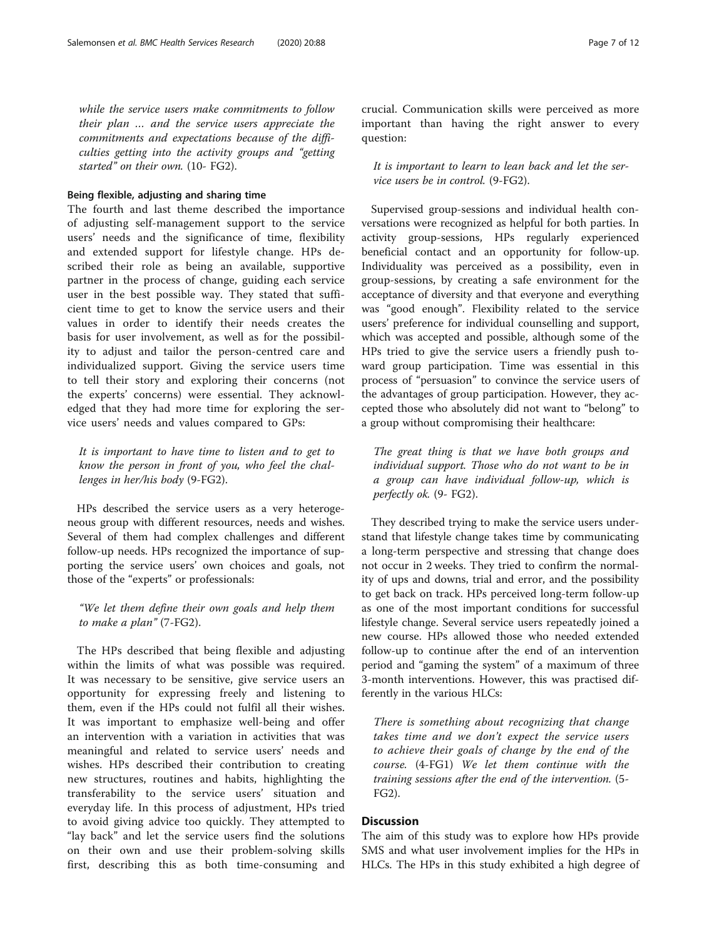while the service users make commitments to follow their plan … and the service users appreciate the commitments and expectations because of the difficulties getting into the activity groups and "getting started" on their own. (10- FG2).

## Being flexible, adjusting and sharing time

The fourth and last theme described the importance of adjusting self-management support to the service users' needs and the significance of time, flexibility and extended support for lifestyle change. HPs described their role as being an available, supportive partner in the process of change, guiding each service user in the best possible way. They stated that sufficient time to get to know the service users and their values in order to identify their needs creates the basis for user involvement, as well as for the possibility to adjust and tailor the person-centred care and individualized support. Giving the service users time to tell their story and exploring their concerns (not the experts' concerns) were essential. They acknowledged that they had more time for exploring the service users' needs and values compared to GPs:

It is important to have time to listen and to get to know the person in front of you, who feel the challenges in her/his body (9-FG2).

HPs described the service users as a very heterogeneous group with different resources, needs and wishes. Several of them had complex challenges and different follow-up needs. HPs recognized the importance of supporting the service users' own choices and goals, not those of the "experts" or professionals:

"We let them define their own goals and help them to make a plan" (7-FG2).

The HPs described that being flexible and adjusting within the limits of what was possible was required. It was necessary to be sensitive, give service users an opportunity for expressing freely and listening to them, even if the HPs could not fulfil all their wishes. It was important to emphasize well-being and offer an intervention with a variation in activities that was meaningful and related to service users' needs and wishes. HPs described their contribution to creating new structures, routines and habits, highlighting the transferability to the service users' situation and everyday life. In this process of adjustment, HPs tried to avoid giving advice too quickly. They attempted to "lay back" and let the service users find the solutions on their own and use their problem-solving skills first, describing this as both time-consuming and crucial. Communication skills were perceived as more important than having the right answer to every question:

It is important to learn to lean back and let the service users be in control. (9-FG2).

Supervised group-sessions and individual health conversations were recognized as helpful for both parties. In activity group-sessions, HPs regularly experienced beneficial contact and an opportunity for follow-up. Individuality was perceived as a possibility, even in group-sessions, by creating a safe environment for the acceptance of diversity and that everyone and everything was "good enough". Flexibility related to the service users' preference for individual counselling and support, which was accepted and possible, although some of the HPs tried to give the service users a friendly push toward group participation. Time was essential in this process of "persuasion" to convince the service users of the advantages of group participation. However, they accepted those who absolutely did not want to "belong" to a group without compromising their healthcare:

The great thing is that we have both groups and individual support. Those who do not want to be in a group can have individual follow-up, which is perfectly ok. (9- FG2).

They described trying to make the service users understand that lifestyle change takes time by communicating a long-term perspective and stressing that change does not occur in 2 weeks. They tried to confirm the normality of ups and downs, trial and error, and the possibility to get back on track. HPs perceived long-term follow-up as one of the most important conditions for successful lifestyle change. Several service users repeatedly joined a new course. HPs allowed those who needed extended follow-up to continue after the end of an intervention period and "gaming the system" of a maximum of three 3-month interventions. However, this was practised differently in the various HLCs:

There is something about recognizing that change takes time and we don't expect the service users to achieve their goals of change by the end of the course. (4-FG1) We let them continue with the training sessions after the end of the intervention. (5- FG2).

## **Discussion**

The aim of this study was to explore how HPs provide SMS and what user involvement implies for the HPs in HLCs. The HPs in this study exhibited a high degree of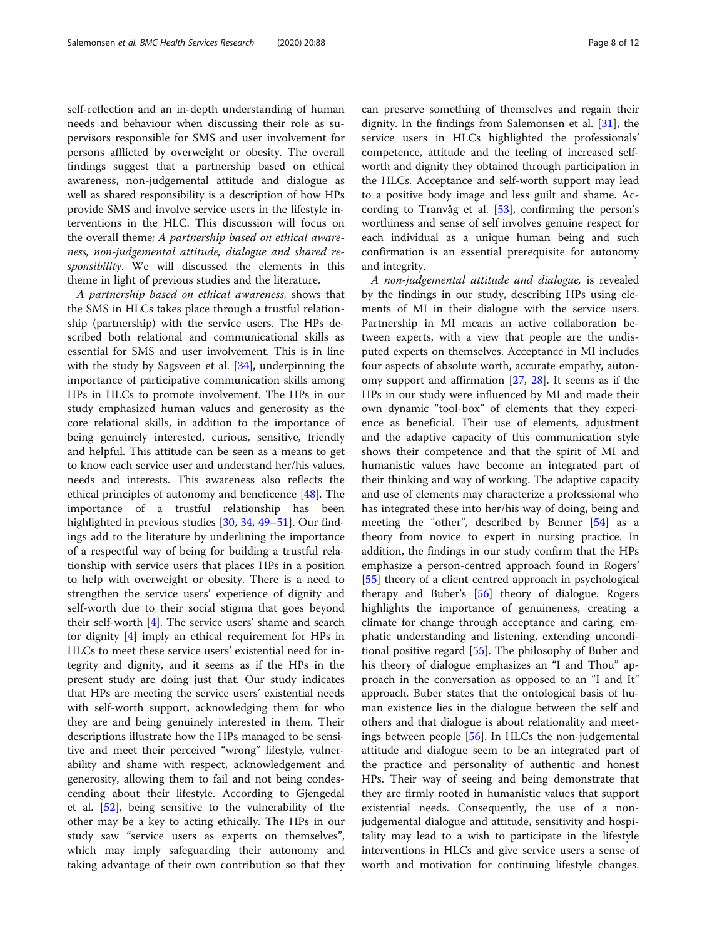self-reflection and an in-depth understanding of human needs and behaviour when discussing their role as supervisors responsible for SMS and user involvement for persons afflicted by overweight or obesity. The overall findings suggest that a partnership based on ethical awareness, non-judgemental attitude and dialogue as well as shared responsibility is a description of how HPs provide SMS and involve service users in the lifestyle interventions in the HLC. This discussion will focus on the overall theme; A partnership based on ethical awareness, non-judgemental attitude, dialogue and shared responsibility. We will discussed the elements in this theme in light of previous studies and the literature.

A partnership based on ethical awareness, shows that the SMS in HLCs takes place through a trustful relationship (partnership) with the service users. The HPs described both relational and communicational skills as essential for SMS and user involvement. This is in line with the study by Sagsveen et al. [\[34\]](#page-10-0), underpinning the importance of participative communication skills among HPs in HLCs to promote involvement. The HPs in our study emphasized human values and generosity as the core relational skills, in addition to the importance of being genuinely interested, curious, sensitive, friendly and helpful. This attitude can be seen as a means to get to know each service user and understand her/his values, needs and interests. This awareness also reflects the ethical principles of autonomy and beneficence [\[48](#page-10-0)]. The importance of a trustful relationship has been highlighted in previous studies [[30,](#page-10-0) [34,](#page-10-0) [49](#page-11-0)–[51](#page-11-0)]. Our findings add to the literature by underlining the importance of a respectful way of being for building a trustful relationship with service users that places HPs in a position to help with overweight or obesity. There is a need to strengthen the service users' experience of dignity and self-worth due to their social stigma that goes beyond their self-worth [[4\]](#page-10-0). The service users' shame and search for dignity [[4\]](#page-10-0) imply an ethical requirement for HPs in HLCs to meet these service users' existential need for integrity and dignity, and it seems as if the HPs in the present study are doing just that. Our study indicates that HPs are meeting the service users' existential needs with self-worth support, acknowledging them for who they are and being genuinely interested in them. Their descriptions illustrate how the HPs managed to be sensitive and meet their perceived "wrong" lifestyle, vulnerability and shame with respect, acknowledgement and generosity, allowing them to fail and not being condescending about their lifestyle. According to Gjengedal et al. [[52](#page-11-0)], being sensitive to the vulnerability of the other may be a key to acting ethically. The HPs in our study saw "service users as experts on themselves", which may imply safeguarding their autonomy and taking advantage of their own contribution so that they can preserve something of themselves and regain their dignity. In the findings from Salemonsen et al. [[31\]](#page-10-0), the service users in HLCs highlighted the professionals' competence, attitude and the feeling of increased selfworth and dignity they obtained through participation in the HLCs. Acceptance and self-worth support may lead to a positive body image and less guilt and shame. According to Tranvåg et al. [\[53](#page-11-0)], confirming the person's worthiness and sense of self involves genuine respect for each individual as a unique human being and such confirmation is an essential prerequisite for autonomy and integrity.

A non-judgemental attitude and dialogue, is revealed by the findings in our study, describing HPs using elements of MI in their dialogue with the service users. Partnership in MI means an active collaboration between experts, with a view that people are the undisputed experts on themselves. Acceptance in MI includes four aspects of absolute worth, accurate empathy, autonomy support and affirmation [[27,](#page-10-0) [28](#page-10-0)]. It seems as if the HPs in our study were influenced by MI and made their own dynamic "tool-box" of elements that they experience as beneficial. Their use of elements, adjustment and the adaptive capacity of this communication style shows their competence and that the spirit of MI and humanistic values have become an integrated part of their thinking and way of working. The adaptive capacity and use of elements may characterize a professional who has integrated these into her/his way of doing, being and meeting the "other", described by Benner [\[54](#page-11-0)] as a theory from novice to expert in nursing practice. In addition, the findings in our study confirm that the HPs emphasize a person-centred approach found in Rogers' [[55\]](#page-11-0) theory of a client centred approach in psychological therapy and Buber's [\[56](#page-11-0)] theory of dialogue. Rogers highlights the importance of genuineness, creating a climate for change through acceptance and caring, emphatic understanding and listening, extending unconditional positive regard [\[55](#page-11-0)]. The philosophy of Buber and his theory of dialogue emphasizes an "I and Thou" approach in the conversation as opposed to an "I and It" approach. Buber states that the ontological basis of human existence lies in the dialogue between the self and others and that dialogue is about relationality and meetings between people [\[56\]](#page-11-0). In HLCs the non-judgemental attitude and dialogue seem to be an integrated part of the practice and personality of authentic and honest HPs. Their way of seeing and being demonstrate that they are firmly rooted in humanistic values that support existential needs. Consequently, the use of a nonjudgemental dialogue and attitude, sensitivity and hospitality may lead to a wish to participate in the lifestyle interventions in HLCs and give service users a sense of worth and motivation for continuing lifestyle changes.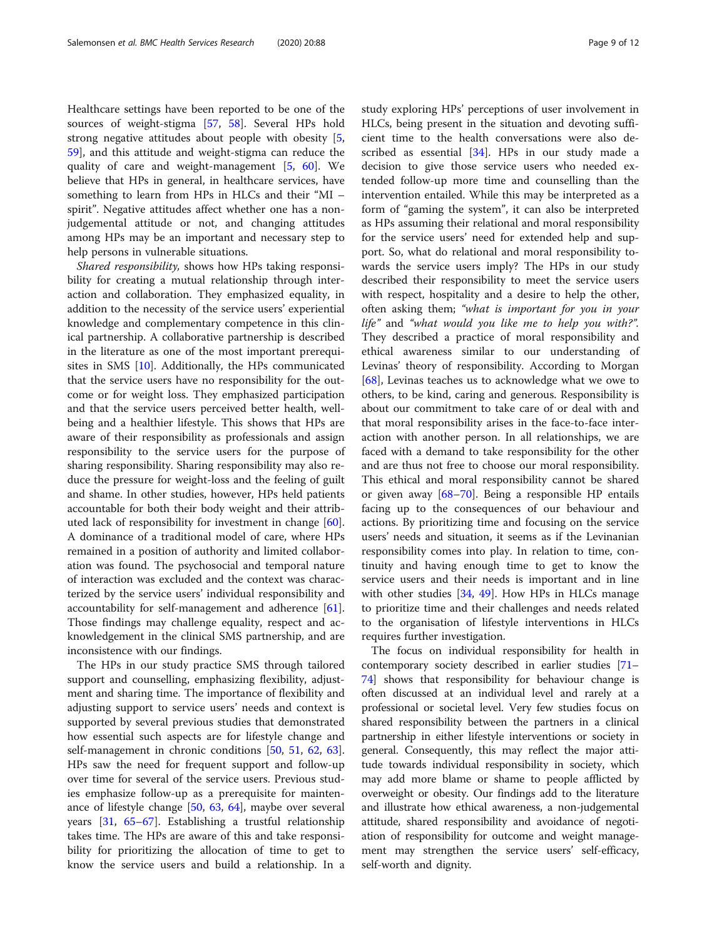Healthcare settings have been reported to be one of the sources of weight-stigma [\[57](#page-11-0), [58](#page-11-0)]. Several HPs hold strong negative attitudes about people with obesity [[5](#page-10-0), [59\]](#page-11-0), and this attitude and weight-stigma can reduce the quality of care and weight-management [[5,](#page-10-0) [60\]](#page-11-0). We believe that HPs in general, in healthcare services, have something to learn from HPs in HLCs and their "MI – spirit". Negative attitudes affect whether one has a nonjudgemental attitude or not, and changing attitudes among HPs may be an important and necessary step to help persons in vulnerable situations.

Shared responsibility, shows how HPs taking responsibility for creating a mutual relationship through interaction and collaboration. They emphasized equality, in addition to the necessity of the service users' experiential knowledge and complementary competence in this clinical partnership. A collaborative partnership is described in the literature as one of the most important prerequisites in SMS [[10](#page-10-0)]. Additionally, the HPs communicated that the service users have no responsibility for the outcome or for weight loss. They emphasized participation and that the service users perceived better health, wellbeing and a healthier lifestyle. This shows that HPs are aware of their responsibility as professionals and assign responsibility to the service users for the purpose of sharing responsibility. Sharing responsibility may also reduce the pressure for weight-loss and the feeling of guilt and shame. In other studies, however, HPs held patients accountable for both their body weight and their attributed lack of responsibility for investment in change [\[60](#page-11-0)]. A dominance of a traditional model of care, where HPs remained in a position of authority and limited collaboration was found. The psychosocial and temporal nature of interaction was excluded and the context was characterized by the service users' individual responsibility and accountability for self-management and adherence [\[61](#page-11-0)]. Those findings may challenge equality, respect and acknowledgement in the clinical SMS partnership, and are inconsistence with our findings.

The HPs in our study practice SMS through tailored support and counselling, emphasizing flexibility, adjustment and sharing time. The importance of flexibility and adjusting support to service users' needs and context is supported by several previous studies that demonstrated how essential such aspects are for lifestyle change and self-management in chronic conditions [\[50](#page-11-0), [51](#page-11-0), [62](#page-11-0), [63](#page-11-0)]. HPs saw the need for frequent support and follow-up over time for several of the service users. Previous studies emphasize follow-up as a prerequisite for maintenance of lifestyle change [[50,](#page-11-0) [63](#page-11-0), [64](#page-11-0)], maybe over several years [[31](#page-10-0), [65](#page-11-0)–[67\]](#page-11-0). Establishing a trustful relationship takes time. The HPs are aware of this and take responsibility for prioritizing the allocation of time to get to know the service users and build a relationship. In a study exploring HPs' perceptions of user involvement in HLCs, being present in the situation and devoting sufficient time to the health conversations were also described as essential [\[34](#page-10-0)]. HPs in our study made a decision to give those service users who needed extended follow-up more time and counselling than the intervention entailed. While this may be interpreted as a form of "gaming the system", it can also be interpreted as HPs assuming their relational and moral responsibility for the service users' need for extended help and support. So, what do relational and moral responsibility towards the service users imply? The HPs in our study described their responsibility to meet the service users with respect, hospitality and a desire to help the other, often asking them; "what is important for you in your life" and "what would you like me to help you with?". They described a practice of moral responsibility and ethical awareness similar to our understanding of Levinas' theory of responsibility. According to Morgan [[68\]](#page-11-0), Levinas teaches us to acknowledge what we owe to others, to be kind, caring and generous. Responsibility is about our commitment to take care of or deal with and that moral responsibility arises in the face-to-face interaction with another person. In all relationships, we are faced with a demand to take responsibility for the other and are thus not free to choose our moral responsibility. This ethical and moral responsibility cannot be shared or given away [\[68](#page-11-0)–[70\]](#page-11-0). Being a responsible HP entails facing up to the consequences of our behaviour and actions. By prioritizing time and focusing on the service users' needs and situation, it seems as if the Levinanian responsibility comes into play. In relation to time, continuity and having enough time to get to know the service users and their needs is important and in line with other studies  $[34, 49]$  $[34, 49]$  $[34, 49]$  $[34, 49]$ . How HPs in HLCs manage to prioritize time and their challenges and needs related to the organisation of lifestyle interventions in HLCs requires further investigation.

The focus on individual responsibility for health in contemporary society described in earlier studies [\[71](#page-11-0)– [74](#page-11-0)] shows that responsibility for behaviour change is often discussed at an individual level and rarely at a professional or societal level. Very few studies focus on shared responsibility between the partners in a clinical partnership in either lifestyle interventions or society in general. Consequently, this may reflect the major attitude towards individual responsibility in society, which may add more blame or shame to people afflicted by overweight or obesity. Our findings add to the literature and illustrate how ethical awareness, a non-judgemental attitude, shared responsibility and avoidance of negotiation of responsibility for outcome and weight management may strengthen the service users' self-efficacy, self-worth and dignity.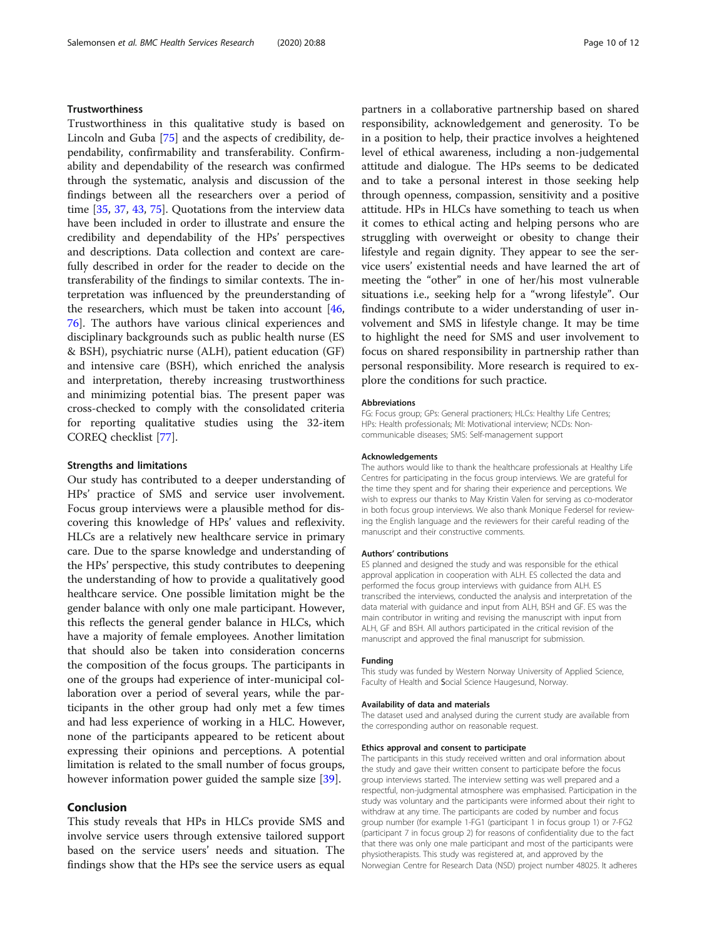## Trustworthiness

Trustworthiness in this qualitative study is based on Lincoln and Guba [\[75](#page-11-0)] and the aspects of credibility, dependability, confirmability and transferability. Confirmability and dependability of the research was confirmed through the systematic, analysis and discussion of the findings between all the researchers over a period of time [\[35](#page-10-0), [37](#page-10-0), [43](#page-10-0), [75](#page-11-0)]. Quotations from the interview data have been included in order to illustrate and ensure the credibility and dependability of the HPs' perspectives and descriptions. Data collection and context are carefully described in order for the reader to decide on the transferability of the findings to similar contexts. The interpretation was influenced by the preunderstanding of the researchers, which must be taken into account [[46](#page-10-0), [76\]](#page-11-0). The authors have various clinical experiences and disciplinary backgrounds such as public health nurse (ES & BSH), psychiatric nurse (ALH), patient education (GF) and intensive care (BSH), which enriched the analysis and interpretation, thereby increasing trustworthiness and minimizing potential bias. The present paper was cross-checked to comply with the consolidated criteria for reporting qualitative studies using the 32-item COREQ checklist [[77\]](#page-11-0).

#### Strengths and limitations

Our study has contributed to a deeper understanding of HPs' practice of SMS and service user involvement. Focus group interviews were a plausible method for discovering this knowledge of HPs' values and reflexivity. HLCs are a relatively new healthcare service in primary care. Due to the sparse knowledge and understanding of the HPs' perspective, this study contributes to deepening the understanding of how to provide a qualitatively good healthcare service. One possible limitation might be the gender balance with only one male participant. However, this reflects the general gender balance in HLCs, which have a majority of female employees. Another limitation that should also be taken into consideration concerns the composition of the focus groups. The participants in one of the groups had experience of inter-municipal collaboration over a period of several years, while the participants in the other group had only met a few times and had less experience of working in a HLC. However, none of the participants appeared to be reticent about expressing their opinions and perceptions. A potential limitation is related to the small number of focus groups, however information power guided the sample size [\[39](#page-10-0)].

## Conclusion

This study reveals that HPs in HLCs provide SMS and involve service users through extensive tailored support based on the service users' needs and situation. The findings show that the HPs see the service users as equal partners in a collaborative partnership based on shared responsibility, acknowledgement and generosity. To be in a position to help, their practice involves a heightened level of ethical awareness, including a non-judgemental attitude and dialogue. The HPs seems to be dedicated and to take a personal interest in those seeking help through openness, compassion, sensitivity and a positive attitude. HPs in HLCs have something to teach us when it comes to ethical acting and helping persons who are struggling with overweight or obesity to change their lifestyle and regain dignity. They appear to see the service users' existential needs and have learned the art of meeting the "other" in one of her/his most vulnerable situations i.e., seeking help for a "wrong lifestyle". Our findings contribute to a wider understanding of user involvement and SMS in lifestyle change. It may be time to highlight the need for SMS and user involvement to focus on shared responsibility in partnership rather than personal responsibility. More research is required to explore the conditions for such practice.

#### Abbreviations

FG: Focus group; GPs: General practioners; HLCs: Healthy Life Centres; HPs: Health professionals; MI: Motivational interview; NCDs: Noncommunicable diseases; SMS: Self-management support

#### Acknowledgements

The authors would like to thank the healthcare professionals at Healthy Life Centres for participating in the focus group interviews. We are grateful for the time they spent and for sharing their experience and perceptions. We wish to express our thanks to May Kristin Valen for serving as co-moderator in both focus group interviews. We also thank Monique Federsel for reviewing the English language and the reviewers for their careful reading of the manuscript and their constructive comments.

#### Authors' contributions

ES planned and designed the study and was responsible for the ethical approval application in cooperation with ALH. ES collected the data and performed the focus group interviews with guidance from ALH. ES transcribed the interviews, conducted the analysis and interpretation of the data material with guidance and input from ALH, BSH and GF. ES was the main contributor in writing and revising the manuscript with input from ALH, GF and BSH. All authors participated in the critical revision of the manuscript and approved the final manuscript for submission.

#### Funding

This study was funded by Western Norway University of Applied Science, Faculty of Health and Social Science Haugesund, Norway.

#### Availability of data and materials

The dataset used and analysed during the current study are available from the corresponding author on reasonable request.

#### Ethics approval and consent to participate

The participants in this study received written and oral information about the study and gave their written consent to participate before the focus group interviews started. The interview setting was well prepared and a respectful, non-judgmental atmosphere was emphasised. Participation in the study was voluntary and the participants were informed about their right to withdraw at any time. The participants are coded by number and focus group number (for example 1-FG1 (participant 1 in focus group 1) or 7-FG2 (participant 7 in focus group 2) for reasons of confidentiality due to the fact that there was only one male participant and most of the participants were physiotherapists. This study was registered at, and approved by the Norwegian Centre for Research Data (NSD) project number 48025. It adheres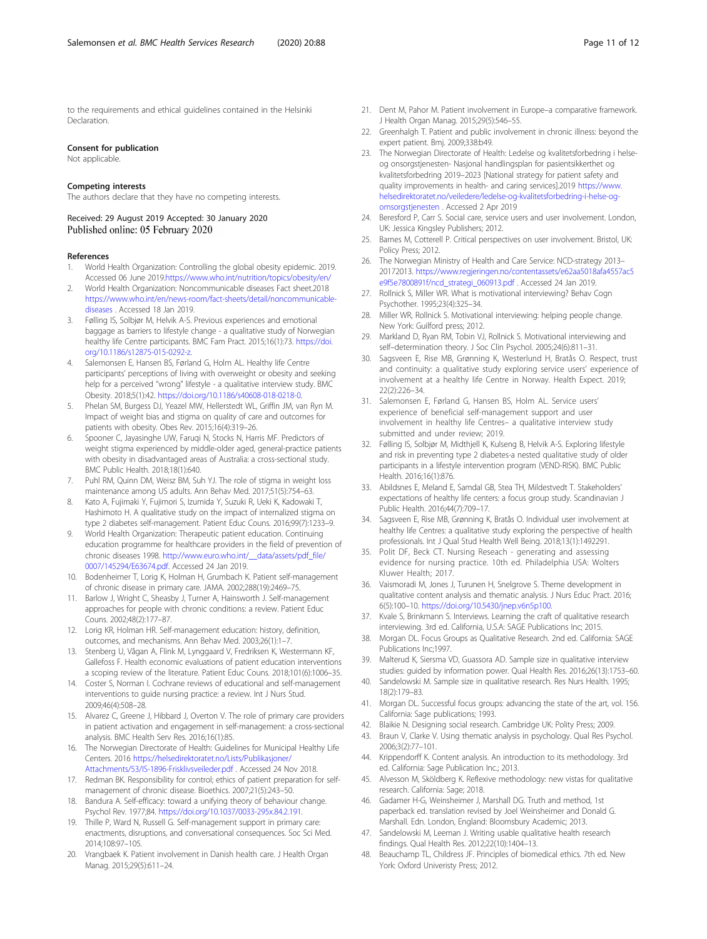<span id="page-10-0"></span>to the requirements and ethical guidelines contained in the Helsinki **Declaration** 

#### Consent for publication

Not applicable.

#### Competing interests

The authors declare that they have no competing interests.

Received: 29 August 2019 Accepted: 30 January 2020 Published online: 05 February 2020

#### References

- 1. World Health Organization: Controlling the global obesity epidemic. 2019. Accessed 06 June 2019[.https://www.who.int/nutrition/topics/obesity/en/](https://www.who.int/nutrition/topics/obesity/en/)
- 2. World Health Organization: Noncommunicable diseases Fact sheet.2018 [https://www.who.int/en/news-room/fact-sheets/detail/noncommunicable](https://www.who.int/en/news-room/fact-sheets/detail/noncommunicable-diseases)[diseases](https://www.who.int/en/news-room/fact-sheets/detail/noncommunicable-diseases) . Accessed 18 Jan 2019.
- 3. Følling IS, Solbjør M, Helvik A-S. Previous experiences and emotional baggage as barriers to lifestyle change - a qualitative study of Norwegian healthy life Centre participants. BMC Fam Pract. 2015;16(1):73. [https://doi.](https://doi.org/10.1186/s12875-015-0292-z) [org/10.1186/s12875-015-0292-z.](https://doi.org/10.1186/s12875-015-0292-z)
- Salemonsen E, Hansen BS, Førland G, Holm AL. Healthy life Centre participants' perceptions of living with overweight or obesity and seeking help for a perceived "wrong" lifestyle - a qualitative interview study. BMC Obesity. 2018;5(1):42. <https://doi.org/10.1186/s40608-018-0218-0>.
- 5. Phelan SM, Burgess DJ, Yeazel MW, Hellerstedt WL, Griffin JM, van Ryn M. Impact of weight bias and stigma on quality of care and outcomes for patients with obesity. Obes Rev. 2015;16(4):319–26.
- 6. Spooner C, Jayasinghe UW, Faruqi N, Stocks N, Harris MF. Predictors of weight stigma experienced by middle-older aged, general-practice patients with obesity in disadvantaged areas of Australia: a cross-sectional study. BMC Public Health. 2018;18(1):640.
- 7. Puhl RM, Quinn DM, Weisz BM, Suh YJ. The role of stigma in weight loss maintenance among US adults. Ann Behav Med. 2017;51(5):754–63.
- 8. Kato A, Fujimaki Y, Fujimori S, Izumida Y, Suzuki R, Ueki K, Kadowaki T, Hashimoto H. A qualitative study on the impact of internalized stigma on type 2 diabetes self-management. Patient Educ Couns. 2016;99(7):1233–9.
- 9. World Health Organization: Therapeutic patient education. Continuing education programme for healthcare providers in the field of prevention of chronic diseases 1998. [http://www.euro.who.int/\\_\\_data/assets/pdf\\_file/](http://www.euro.who.int/__data/assets/pdf_file/0007/145294/E63674.pdf) [0007/145294/E63674.pdf.](http://www.euro.who.int/__data/assets/pdf_file/0007/145294/E63674.pdf) Accessed 24 Jan 2019.
- 10. Bodenheimer T, Lorig K, Holman H, Grumbach K. Patient self-management of chronic disease in primary care. JAMA. 2002;288(19):2469–75.
- 11. Barlow J, Wright C, Sheasby J, Turner A, Hainsworth J. Self-management approaches for people with chronic conditions: a review. Patient Educ Couns. 2002;48(2):177–87.
- 12. Lorig KR, Holman HR. Self-management education: history, definition, outcomes, and mechanisms. Ann Behav Med. 2003;26(1):1–7.
- 13. Stenberg U, Vågan A, Flink M, Lynggaard V, Fredriksen K, Westermann KF, Gallefoss F. Health economic evaluations of patient education interventions a scoping review of the literature. Patient Educ Couns. 2018;101(6):1006–35.
- 14. Coster S, Norman I. Cochrane reviews of educational and self-management interventions to guide nursing practice: a review. Int J Nurs Stud. 2009;46(4):508–28.
- 15. Alvarez C, Greene J, Hibbard J, Overton V. The role of primary care providers in patient activation and engagement in self-management: a cross-sectional analysis. BMC Health Serv Res. 2016;16(1):85.
- 16. The Norwegian Directorate of Health: Guidelines for Municipal Healthy Life Centers. 2016 [https://helsedirektoratet.no/Lists/Publikasjoner/](https://helsedirektoratet.no/Lists/Publikasjoner/Attachments/53/IS-1896-Frisklivsveileder.pdf) [Attachments/53/IS-1896-Frisklivsveileder.pdf](https://helsedirektoratet.no/Lists/Publikasjoner/Attachments/53/IS-1896-Frisklivsveileder.pdf) . Accessed 24 Nov 2018.
- 17. Redman BK. Responsibility for control; ethics of patient preparation for selfmanagement of chronic disease. Bioethics. 2007;21(5):243–50.
- 18. Bandura A. Self-efficacy: toward a unifying theory of behaviour change. Psychol Rev. 1977;84. [https://doi.org/10.1037/0033-295x.84.2.191.](https://doi.org/10.1037/0033-295x.84.2.191)
- 19. Thille P, Ward N, Russell G. Self-management support in primary care: enactments, disruptions, and conversational consequences. Soc Sci Med. 2014;108:97–105.
- 20. Vrangbaek K. Patient involvement in Danish health care. J Health Organ Manag. 2015;29(5):611–24.
- 21. Dent M, Pahor M. Patient involvement in Europe–a comparative framework. J Health Organ Manag. 2015;29(5):546–55.
- 22. Greenhalgh T. Patient and public involvement in chronic illness: beyond the expert patient. Bmj. 2009;338:b49.
- 23. The Norwegian Directorate of Health: Ledelse og kvalitetsforbedring i helseog onsorgstjenesten- Nasjonal handlingsplan for pasientsikkerthet og kvalitetsforbedring 2019–2023 [National strategy for patient safety and quality improvements in health- and caring services].2019 [https://www.](https://www.helsedirektoratet.no/veiledere/ledelse-og-kvalitetsforbedring-i-helse-og-omsorgstjenesten) [helsedirektoratet.no/veiledere/ledelse-og-kvalitetsforbedring-i-helse-og](https://www.helsedirektoratet.no/veiledere/ledelse-og-kvalitetsforbedring-i-helse-og-omsorgstjenesten)[omsorgstjenesten](https://www.helsedirektoratet.no/veiledere/ledelse-og-kvalitetsforbedring-i-helse-og-omsorgstjenesten) . Accessed 2 Apr 2019
- 24. Beresford P, Carr S. Social care, service users and user involvement. London, UK: Jessica Kingsley Publishers; 2012.
- 25. Barnes M, Cotterell P. Critical perspectives on user involvement. Bristol, UK: Policy Press: 2012
- 26. The Norwegian Ministry of Health and Care Service: NCD-strategy 2013– 20172013. [https://www.regjeringen.no/contentassets/e62aa5018afa4557ac5](https://www.regjeringen.no/contentassets/e62aa5018afa4557ac5e9f5e7800891f/ncd_strategi_060913.pdf) [e9f5e7800891f/ncd\\_strategi\\_060913.pdf](https://www.regjeringen.no/contentassets/e62aa5018afa4557ac5e9f5e7800891f/ncd_strategi_060913.pdf) . Accessed 24 Jan 2019.
- 27. Rollnick S, Miller WR. What is motivational interviewing? Behav Cogn Psychother. 1995;23(4):325–34.
- 28. Miller WR, Rollnick S. Motivational interviewing: helping people change. New York: Guilford press; 2012.
- 29. Markland D, Ryan RM, Tobin VJ, Rollnick S. Motivational interviewing and self–determination theory. J Soc Clin Psychol. 2005;24(6):811–31.
- 30. Sagsveen E, Rise MB, Grønning K, Westerlund H, Bratås O. Respect, trust and continuity: a qualitative study exploring service users' experience of involvement at a healthy life Centre in Norway. Health Expect. 2019; 22(2):226–34.
- 31. Salemonsen E, Førland G, Hansen BS, Holm AL. Service users' experience of beneficial self-management support and user involvement in healthy life Centres– a qualitative interview study submitted and under review; 2019.
- 32. Følling IS, Solbjør M, Midthjell K, Kulseng B, Helvik A-S. Exploring lifestyle and risk in preventing type 2 diabetes-a nested qualitative study of older participants in a lifestyle intervention program (VEND-RISK). BMC Public Health. 2016;16(1):876.
- 33. Abildsnes E, Meland E, Samdal GB, Stea TH, Mildestvedt T. Stakeholders' expectations of healthy life centers: a focus group study. Scandinavian J Public Health. 2016;44(7):709–17.
- 34. Sagsveen E, Rise MB, Grønning K, Bratås O. Individual user involvement at healthy life Centres: a qualitative study exploring the perspective of health professionals. Int J Qual Stud Health Well Being. 2018;13(1):1492291.
- 35. Polit DF, Beck CT. Nursing Reseach generating and assessing evidence for nursing practice. 10th ed. Philadelphia USA: Wolters Kluwer Health; 2017.
- 36. Vaismoradi M, Jones J, Turunen H, Snelgrove S. Theme development in qualitative content analysis and thematic analysis. J Nurs Educ Pract. 2016; 6(5):100–10. <https://doi.org/10.5430/jnep.v6n5p100>.
- 37. Kvale S, Brinkmann S. Interviews. Learning the craft of qualitative research interviewing. 3rd ed. California, U.S.A: SAGE Publications Inc; 2015.
- 38. Morgan DL. Focus Groups as Qualitative Research. 2nd ed. California: SAGE Publications Inc;1997.
- 39. Malterud K, Siersma VD, Guassora AD. Sample size in qualitative interview studies: guided by information power. Qual Health Res. 2016;26(13):1753–60.
- 40. Sandelowski M. Sample size in qualitative research. Res Nurs Health. 1995; 18(2):179–83.
- 41. Morgan DL. Successful focus groups: advancing the state of the art, vol. 156. California: Sage publications; 1993.
- 42. Blaikie N. Designing social research. Cambridge UK: Polity Press; 2009.
- 43. Braun V, Clarke V. Using thematic analysis in psychology. Qual Res Psychol. 2006;3(2):77–101.
- 44. Krippendorff K. Content analysis. An introduction to its methodology. 3rd ed. California: Sage Publication Inc.; 2013.
- 45. Alvesson M, Sköldberg K. Reflexive methodology: new vistas for qualitative research. California: Sage; 2018.
- 46. Gadamer H-G, Weinsheimer J, Marshall DG. Truth and method, 1st paperback ed. translation revised by Joel Weinsheimer and Donald G. Marshall. Edn. London, England: Bloomsbury Academic; 2013.
- 47. Sandelowski M, Leeman J. Writing usable qualitative health research findings. Qual Health Res. 2012;22(10):1404–13.
- 48. Beauchamp TL, Childress JF. Principles of biomedical ethics. 7th ed. New York: Oxford Univeristy Press; 2012.